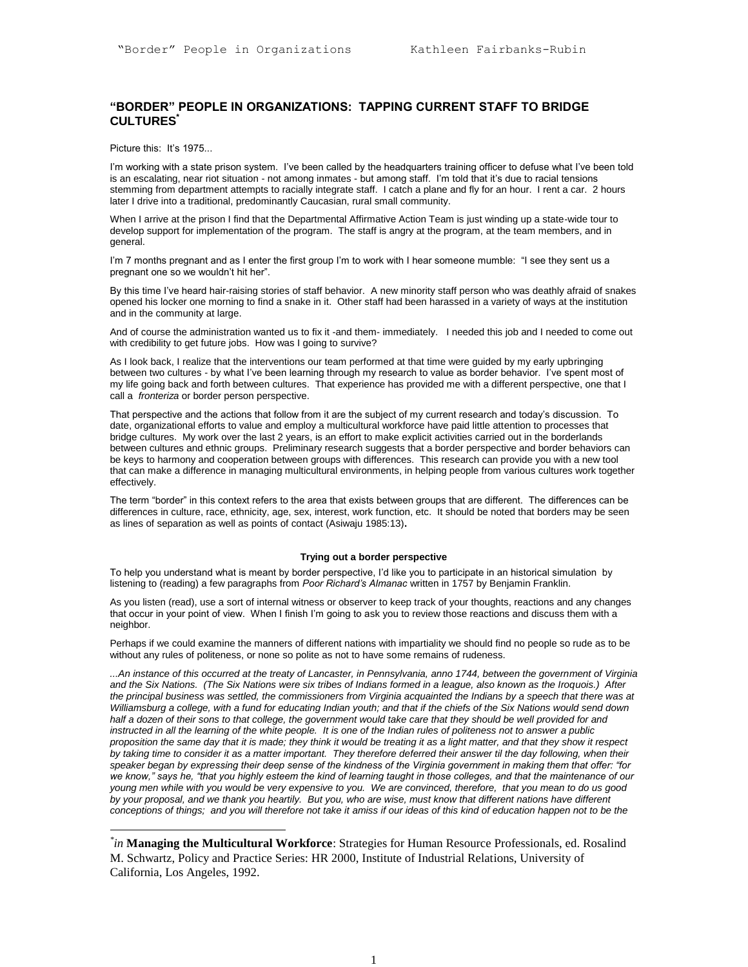# **"BORDER" PEOPLE IN ORGANIZATIONS: TAPPING CURRENT STAFF TO BRIDGE CULTURES\***

Picture this: It's 1975...

 $\overline{a}$ 

I'm working with a state prison system. I've been called by the headquarters training officer to defuse what I've been told is an escalating, near riot situation - not among inmates - but among staff. I'm told that it's due to racial tensions stemming from department attempts to racially integrate staff. I catch a plane and fly for an hour. I rent a car. 2 hours later I drive into a traditional, predominantly Caucasian, rural small community.

When I arrive at the prison I find that the Departmental Affirmative Action Team is just winding up a state-wide tour to develop support for implementation of the program. The staff is angry at the program, at the team members, and in general.

I'm 7 months pregnant and as I enter the first group I'm to work with I hear someone mumble: "I see they sent us a pregnant one so we wouldn't hit her".

By this time I've heard hair-raising stories of staff behavior. A new minority staff person who was deathly afraid of snakes opened his locker one morning to find a snake in it. Other staff had been harassed in a variety of ways at the institution and in the community at large.

And of course the administration wanted us to fix it -and them- immediately. I needed this job and I needed to come out with credibility to get future jobs. How was I going to survive?

As I look back, I realize that the interventions our team performed at that time were guided by my early upbringing between two cultures - by what I've been learning through my research to value as border behavior. I've spent most of my life going back and forth between cultures. That experience has provided me with a different perspective, one that I call a *fronteriza* or border person perspective.

That perspective and the actions that follow from it are the subject of my current research and today's discussion. To date, organizational efforts to value and employ a multicultural workforce have paid little attention to processes that bridge cultures. My work over the last 2 years, is an effort to make explicit activities carried out in the borderlands between cultures and ethnic groups. Preliminary research suggests that a border perspective and border behaviors can be keys to harmony and cooperation between groups with differences. This research can provide you with a new tool that can make a difference in managing multicultural environments, in helping people from various cultures work together effectively.

The term "border" in this context refers to the area that exists between groups that are different. The differences can be differences in culture, race, ethnicity, age, sex, interest, work function, etc. It should be noted that borders may be seen as lines of separation as well as points of contact (Asiwaju 1985:13)**.**

#### **Trying out a border perspective**

To help you understand what is meant by border perspective, I'd like you to participate in an historical simulation by listening to (reading) a few paragraphs from *Poor Richard's Almanac* written in 1757 by Benjamin Franklin.

As you listen (read), use a sort of internal witness or observer to keep track of your thoughts, reactions and any changes that occur in your point of view. When I finish I'm going to ask you to review those reactions and discuss them with a neighbor.

Perhaps if we could examine the manners of different nations with impartiality we should find no people so rude as to be without any rules of politeness, or none so polite as not to have some remains of rudeness.

*...An instance of this occurred at the treaty of Lancaster, in Pennsylvania, anno 1744, between the government of Virginia and the Six Nations. (The Six Nations were six tribes of Indians formed in a league, also known as the Iroquois.) After the principal business was settled, the commissioners from Virginia acquainted the Indians by a speech that there was at Williamsburg a college, with a fund for educating Indian youth; and that if the chiefs of the Six Nations would send down* half a dozen of their sons to that college, the government would take care that they should be well provided for and *instructed in all the learning of the white people. It is one of the Indian rules of politeness not to answer a public proposition the same day that it is made; they think it would be treating it as a light matter, and that they show it respect*  by taking time to consider it as a matter important. They therefore deferred their answer til the day following, when their *speaker began by expressing their deep sense of the kindness of the Virginia government in making them that offer: "for we know," says he, "that you highly esteem the kind of learning taught in those colleges, and that the maintenance of our young men while with you would be very expensive to you. We are convinced, therefore, that you mean to do us good*  by your proposal, and we thank you heartily. But you, who are wise, must know that different nations have different *conceptions of things; and you will therefore not take it amiss if our ideas of this kind of education happen not to be the* 

*<sup>\*</sup> in* **Managing the Multicultural Workforce**: Strategies for Human Resource Professionals, ed. Rosalind M. Schwartz, Policy and Practice Series: HR 2000, Institute of Industrial Relations, University of California, Los Angeles, 1992.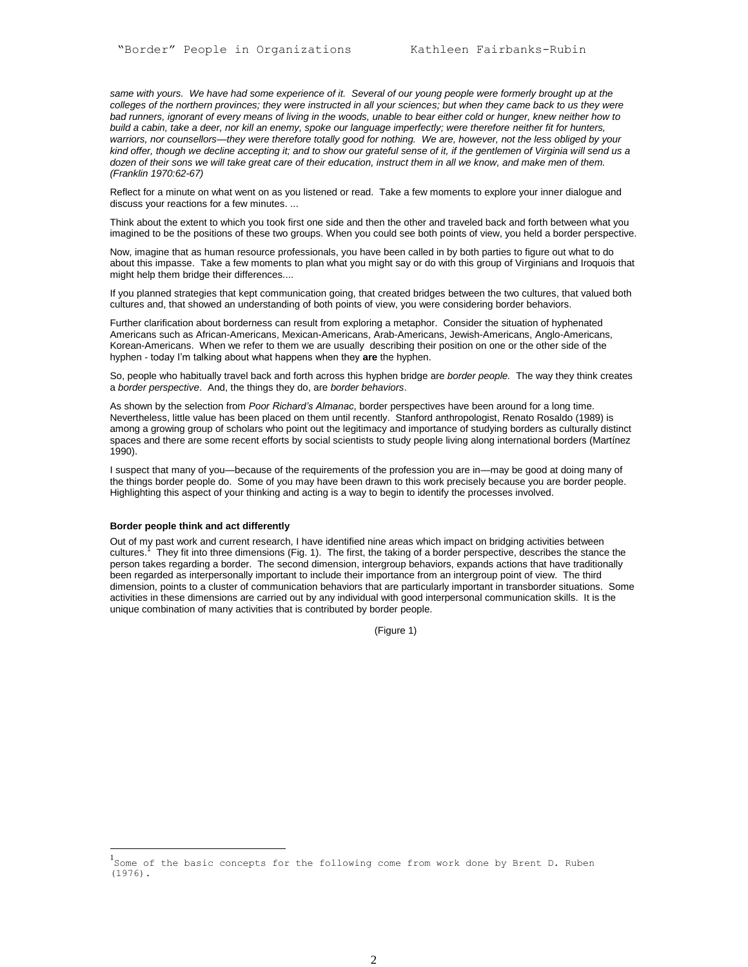same with yours. We have had some experience of it. Several of our young people were formerly brought up at the *colleges of the northern provinces; they were instructed in all your sciences; but when they came back to us they were bad runners, ignorant of every means of living in the woods, unable to bear either cold or hunger, knew neither how to build a cabin, take a deer, nor kill an enemy, spoke our language imperfectly; were therefore neither fit for hunters, warriors, nor counsellors—they were therefore totally good for nothing. We are, however, not the less obliged by your kind offer, though we decline accepting it; and to show our grateful sense of it, if the gentlemen of Virginia will send us a dozen of their sons we will take great care of their education, instruct them in all we know, and make men of them. (Franklin 1970:62-67)*

Reflect for a minute on what went on as you listened or read. Take a few moments to explore your inner dialogue and discuss your reactions for a few minutes. ...

Think about the extent to which you took first one side and then the other and traveled back and forth between what you imagined to be the positions of these two groups. When you could see both points of view, you held a border perspective.

Now, imagine that as human resource professionals, you have been called in by both parties to figure out what to do about this impasse. Take a few moments to plan what you might say or do with this group of Virginians and Iroquois that might help them bridge their differences....

If you planned strategies that kept communication going, that created bridges between the two cultures, that valued both cultures and, that showed an understanding of both points of view, you were considering border behaviors.

Further clarification about borderness can result from exploring a metaphor. Consider the situation of hyphenated Americans such as African-Americans, Mexican-Americans, Arab-Americans, Jewish-Americans, Anglo-Americans, Korean-Americans. When we refer to them we are usually describing their position on one or the other side of the hyphen - today I'm talking about what happens when they **are** the hyphen.

So, people who habitually travel back and forth across this hyphen bridge are *border people.* The way they think creates a *border perspective*. And, the things they do, are *border behaviors*.

As shown by the selection from *Poor Richard's Almanac*, border perspectives have been around for a long time. Nevertheless, little value has been placed on them until recently. Stanford anthropologist, Renato Rosaldo (1989) is among a growing group of scholars who point out the legitimacy and importance of studying borders as culturally distinct spaces and there are some recent efforts by social scientists to study people living along international borders (Martínez 1990).

I suspect that many of you—because of the requirements of the profession you are in—may be good at doing many of the things border people do. Some of you may have been drawn to this work precisely because you are border people. Highlighting this aspect of your thinking and acting is a way to begin to identify the processes involved.

# **Border people think and act differently**

l

Out of my past work and current research, I have identified nine areas which impact on bridging activities between cultures.<sup>1</sup> They fit into three dimensions (Fig. 1). The first, the taking of a border perspective, describes the stance the person takes regarding a border. The second dimension, intergroup behaviors, expands actions that have traditionally been regarded as interpersonally important to include their importance from an intergroup point of view. The third dimension, points to a cluster of communication behaviors that are particularly important in transborder situations. Some activities in these dimensions are carried out by any individual with good interpersonal communication skills. It is the unique combination of many activities that is contributed by border people.

(Figure 1)

<sup>1&</sup>lt;br>Some of the basic concepts for the following come from work done by Brent D. Ruben (1976).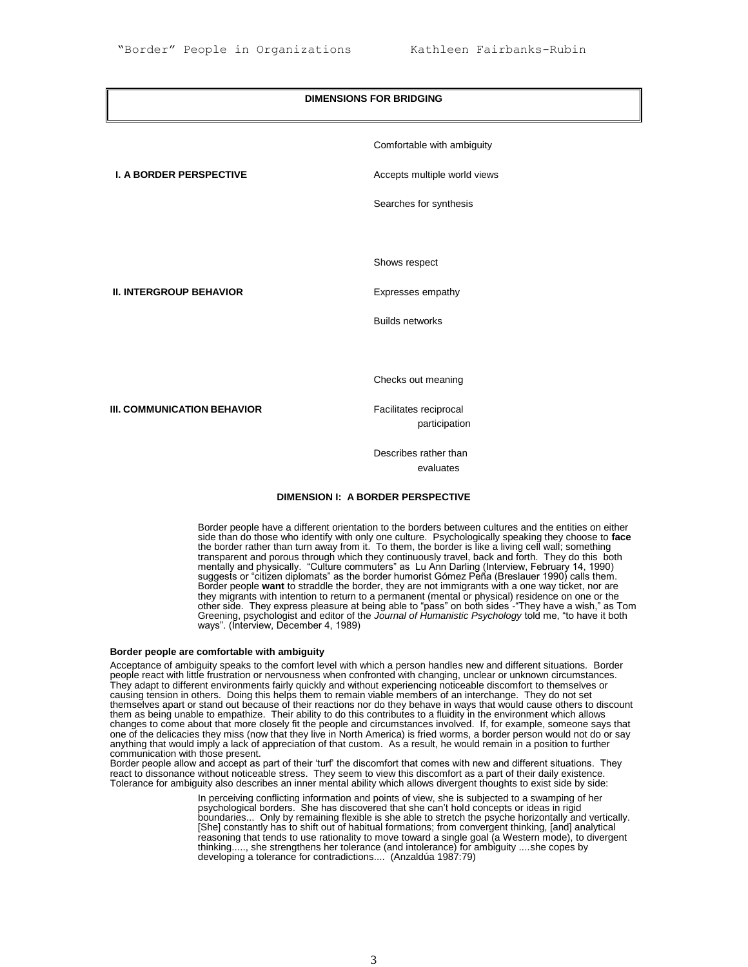# **DIMENSIONS FOR BRIDGING** Comfortable with ambiguity **I. A BORDER PERSPECTIVE** Accepts multiple world views Searches for synthesis Shows respect **II. INTERGROUP BEHAVIOR** Expresses empathy Builds networks Checks out meaning **III. COMMUNICATION BEHAVIOR** Facilitates reciprocal participation

Describes rather than evaluates

# **DIMENSION I: A BORDER PERSPECTIVE**

Border people have a different orientation to the borders between cultures and the entities on either side than do those who identify with only one culture. Psychologically speaking they choose to **face** the border rather than turn away from it. To them, the border is like a living cell wall; something transparent and porous through which they continuously travel, back and forth. They do this both mentally and physically. "Culture commuters" as Lu Ann Darling (Interview, February 14, 1990) suggests or "citizen diplomats" as the border humorist Gómez Peña (Breslauer 1990) calls them. Border people **want** to straddle the border, they are not immigrants with a one way ticket, nor are they migrants with intention to return to a permanent (mental or physical) residence on one or the other side. They express pleasure at being able to "pass" on both sides -"They have a wish," as Tom Greening, psychologist and editor of the *Journal of Humanistic Psychology* told me, "to have it both ways". (Interview, December 4, 1989)

# **Border people are comfortable with ambiguity**

Acceptance of ambiguity speaks to the comfort level with which a person handles new and different situations*.* Border people react with little frustration or nervousness when confronted with changing, unclear or unknown circumstances. They adapt to different environments fairly quickly and without experiencing noticeable discomfort to themselves or causing tension in others. Doing this helps them to remain viable members of an interchange. They do not set themselves apart or stand out because of their reactions nor do they behave in ways that would cause others to discount them as being unable to empathize. Their ability to do this contributes to a fluidity in the environment which allows changes to come about that more closely fit the people and circumstances involved. If, for example, someone says that one of the delicacies they miss (now that they live in North America) is fried worms, a border person would not do or say anything that would imply a lack of appreciation of that custom. As a result, he would remain in a position to further communication with those present.

Border people allow and accept as part of their 'turf' the discomfort that comes with new and different situations. They react to dissonance without noticeable stress. They seem to view this discomfort as a part of their daily existence. Tolerance for ambiguity also describes an inner mental ability which allows divergent thoughts to exist side by side:

> In perceiving conflicting information and points of view, she is subjected to a swamping of her psychological borders. She has discovered that she can't hold concepts or ideas in rigid boundaries... Only by remaining flexible is she able to stretch the psyche horizontally and vertically. [She] constantly has to shift out of habitual formations; from convergent thinking, [and] analytical reasoning that tends to use rationality to move toward a single goal (a Western mode), to divergent thinking....., she strengthens her tolerance (and intolerance) for ambiguity .*...*she copes by developing a tolerance for contradictions.... (Anzaldúa 1987:79)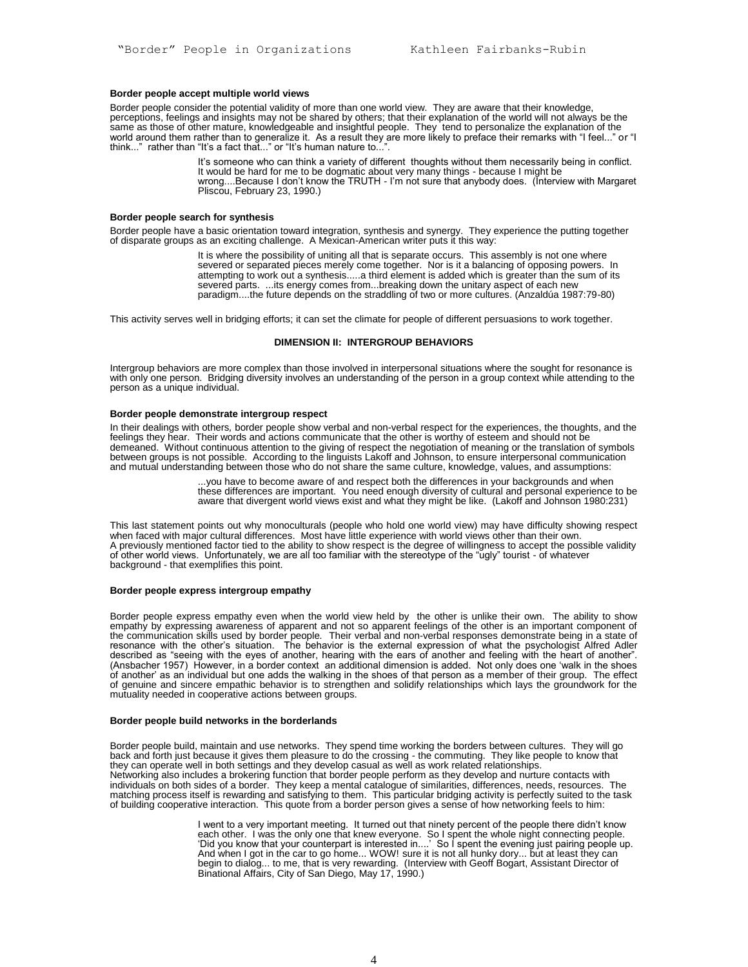# **Border people accept multiple world views**

Border people consider the potential validity of more than one world view. They are aware that their knowledge, perceptions, feelings and insights may not be shared by others; that their explanation of the world will not always be the same as those of other mature, knowledgeable and insightful people. They tend to personalize the explanation of the world around them rather than to generalize it. As a result they are more likely to preface their remarks with "I feel..." or "I think..." rather than "It's a fact that..." or "It's human nature to...".

> It's someone who can think a variety of different thoughts without them necessarily being in conflict. It would be hard for me to be dogmatic about very many things - because I might be wrong....Because I don't know the TRUTH - I'm not sure that anybody does. (Interview with Margaret Pliscou, February 23, 1990.)

#### **Border people search for synthesis**

Border people have a basic orientation toward integration, synthesis and synergy. They experience the putting together of disparate groups as an exciting challenge. A Mexican-American writer puts it this way:

> It is where the possibility of uniting all that is separate occurs. This assembly is not one where severed or separated pieces merely come together. Nor is it a balancing of opposing powers. In attempting to work out a synthesis.....a third element is added which is greater than the sum of its severed parts. ...its energy comes from...breaking down the unitary aspect of each new paradigm....the future depends on the straddling of two or more cultures. (Anzaldúa 1987:79-80)

This activity serves well in bridging efforts; it can set the climate for people of different persuasions to work together.

# **DIMENSION II: INTERGROUP BEHAVIORS**

Intergroup behaviors are more complex than those involved in interpersonal situations where the sought for resonance is with only one person. Bridging diversity involves an understanding of the person in a group context while attending to the person as a unique individual.

## **Border people demonstrate intergroup respect**

In their dealings with others*,* border people show verbal and non-verbal respect for the experiences, the thoughts, and the feelings they hear. Their words and actions communicate that the other is worthy of esteem and should not be demeaned. Without continuous attention to the giving of respect the negotiation of meaning or the translation of symbols between groups is not possible. According to the linguists Lakoff and Johnson, to ensure interpersonal communication and mutual understanding between those who do not share the same culture, knowledge, values, and assumptions:

> ...you have to become aware of and respect both the differences in your backgrounds and when these differences are important. You need enough diversity of cultural and personal experience to be aware that divergent world views exist and what they might be like. (Lakoff and Johnson 1980:231)

This last statement points out why monoculturals (people who hold one world view) may have difficulty showing respect when faced with major cultural differences. Most have little experience with world views other than their own. A previously mentioned factor tied to the ability to show respect is the degree of willingness to accept the possible validity of other world views. Unfortunately, we are all too familiar with the stereotype of the "ugly" tourist - of whatever background - that exemplifies this point.

#### **Border people express intergroup empathy**

Border people express empathy even when the world view held by the other is unlike their own. The ability to show empathy by expressing awareness of apparent and not so apparent feelings of the other is an important component of the communication skills used by border people*.* Their verbal and non-verbal responses demonstrate being in a state of resonance with the other's situation. The behavior is the external expression of what the psychologist Alfred Adler described as "seeing with the eyes of another, hearing with the ears of another and feeling with the heart of another". (Ansbacher 1957) However, in a border context an additional dimension is added. Not only does one 'walk in the shoes of another' as an individual but one adds the walking in the shoes of that person as a member of their group. The effect of genuine and sincere empathic behavior is to strengthen and solidify relationships which lays the groundwork for the mutuality needed in cooperative actions between groups.

#### **Border people build networks in the borderlands**

Border people build, maintain and use networks. They spend time working the borders between cultures. They will go back and forth just because it gives them pleasure to do the crossing - the commuting. They like people to know that they can operate well in both settings and they develop casual as well as work related relationships. Networking also includes a brokering function that border people perform as they develop and nurture contacts with individuals on both sides of a border. They keep a mental catalogue of similarities, differences, needs, resources. The matching process itself is rewarding and satisfying to them. This particular bridging activity is perfectly suited to the task of building cooperative interaction. This quote from a border person gives a sense of how networking feels to him:

> I went to a very important meeting. It turned out that ninety percent of the people there didn't know each other. I was the only one that knew everyone. So I spent the whole night connecting people. 'Did you know that your counterpart is interested in....' So I spent the evening just pairing people up. And when I got in the car to go home... WOW! sure it is not all hunky dory... but at least they can begin to dialog... to me, that is very rewarding. (Interview with Geoff Bogart, Assistant Director of Binational Affairs, City of San Diego, May 17, 1990.)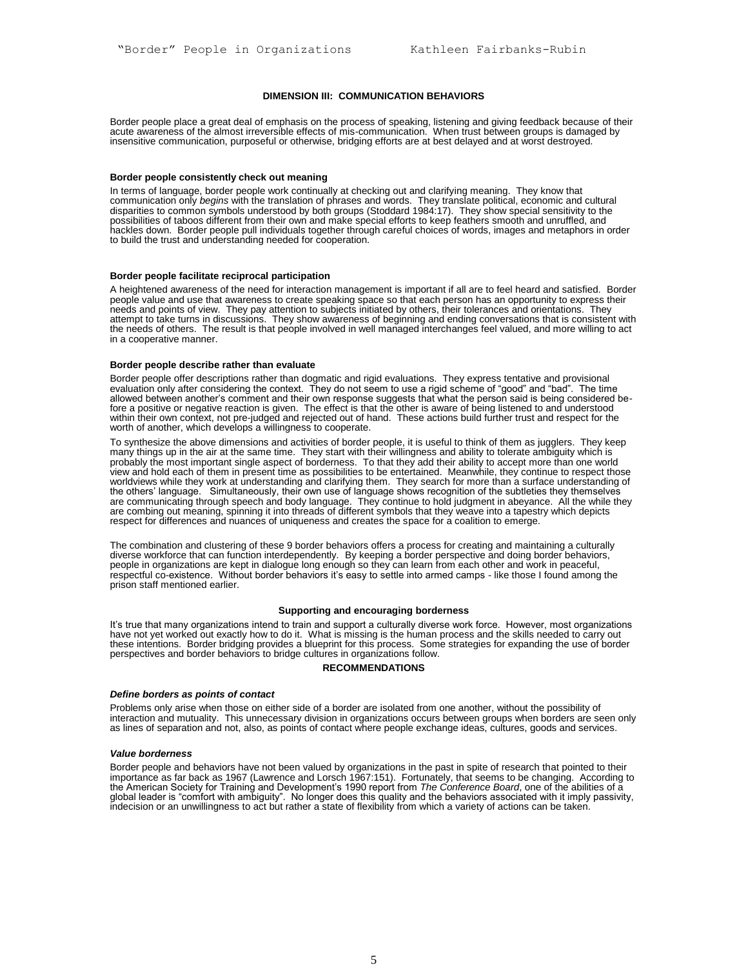#### **DIMENSION III: COMMUNICATION BEHAVIORS**

Border people place a great deal of emphasis on the process of speaking, listening and giving feedback because of their acute awareness of the almost irreversible effects of mis-communication. When trust between groups is damaged by insensitive communication, purposeful or otherwise, bridging efforts are at best delayed and at worst destroyed.

#### **Border people consistently check out meaning**

In terms of language, border people work continually at checking out and clarifying meaning. They know that communication only *begins* with the translation of phrases and words. They translate political, economic and cultural disparities to common symbols understood by both groups (Stoddard 1984:17). They show special sensitivity to the possibilities of taboos different from their own and make special efforts to keep feathers smooth and unruffled, and hackles down. Border people pull individuals together through careful choices of words, images and metaphors in order to build the trust and understanding needed for cooperation.

# **Border people facilitate reciprocal participation**

A heightened awareness of the need for interaction management is important if all are to feel heard and satisfied.Border people value and use that awareness to create speaking space so that each person has an opportunity to express their needs and points of view. They pay attention to subjects initiated by others, their tolerances and orientations. They attempt to take turns in discussions. They show awareness of beginning and ending conversations that is consistent with the needs of others. The result is that people involved in well managed interchanges feel valued, and more willing to act in a cooperative manner.

#### **Border people describe rather than evaluate**

Border people offer descriptions rather than dogmatic and rigid evaluations. They express tentative and provisional evaluation only after considering the context. They do not seem to use a rigid scheme of "good" and "bad". The time allowed between another's comment and their own response suggests that what the person said is being considered before a positive or negative reaction is given. The effect is that the other is aware of being listened to and understood within their own context, not pre-judged and rejected out of hand. These actions build further trust and respect for the worth of another, which develops a willingness to cooperate.

To synthesize the above dimensions and activities of border people, it is useful to think of them as jugglers. They keep many things up in the air at the same time. They start with their willingness and ability to tolerate ambiguity which is probably the most important single aspect of borderness. To that they add their ability to accept more than one world view and hold each of them in present time as possibilities to be entertained. Meanwhile, they continue to respect those worldviews while they work at understanding and clarifying them. They search for more than a surface understanding of the others' language. Simultaneously, their own use of language shows recognition of the subtleties they themselves are communicating through speech and body language. They continue to hold judgment in abeyance. All the while they are combing out meaning, spinning it into threads of different symbols that they weave into a tapestry which depicts respect for differences and nuances of uniqueness and creates the space for a coalition to emerge.

The combination and clustering of these 9 border behaviors offers a process for creating and maintaining a culturally diverse workforce that can function interdependently*.* By keeping a border perspective and doing border behaviors, people in organizations are kept in dialogue long enough so they can learn from each other and work in peaceful, respectful co-existence. Without border behaviors it's easy to settle into armed camps - like those I found among the prison staff mentioned earlier.

#### **Supporting and encouraging borderness**

It's true that many organizations intend to train and support a culturally diverse work force. However, most organizations have not yet worked out exactly how to do it. What is missing is the human process and the skills needed to carry out these intentions. Border bridging provides a blueprint for this process. Some strategies for expanding the use of border perspectives and border behaviors to bridge cultures in organizations follow.

#### **RECOMMENDATIONS**

#### *Define borders as points of contact*

Problems only arise when those on either side of a border are isolated from one another, without the possibility of interaction and mutuality. This unnecessary division in organizations occurs between groups when borders are seen only as lines of separation and not, also, as points of contact where people exchange ideas, cultures, goods and services.

## *Value borderness*

Border people and behaviors have not been valued by organizations in the past in spite of research that pointed to their importance as far back as 1967 (Lawrence and Lorsch 1967:151). Fortunately, that seems to be changing. According to the American Society for Training and Development's 1990 report from *The Conference Board*, one of the abilities of a global leader is "comfort with ambiguity". No longer does this quality and the behaviors associated with it imply passivity, indecision or an unwillingness to act but rather a state of flexibility from which a variety of actions can be taken.